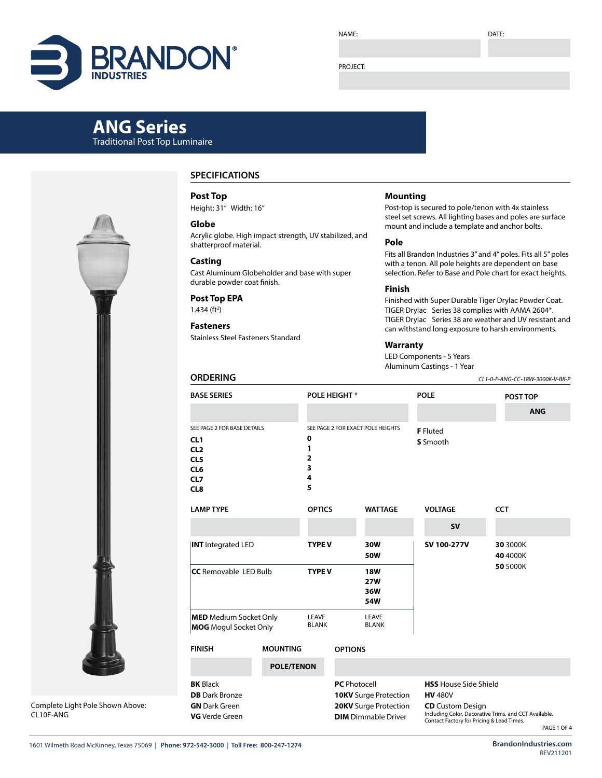

NAME:

DATE:

#### PROJECT:

# **ANG Series** Traditional Post Top Luminaire

Complete Light Pole Shown Above: CL10F-ANG

# **SPECIFICATIONS**

#### **Post Top**

Height: 31" Width: 16"

#### **Globe**

Acrylic globe. High impact strength, UV stabilized, and shatterproof material.

#### **Casting**

Cast Aluminum Globeholder and base with super durable powder coat finish.

## **Post Top EPA**

 $1.434$  (ft<sup>2</sup>)

# **Fasteners**

**ORDERING**

Stainless Steel Fasteners Standard

### **Mounting**

Post-top is secured to pole/tenon with 4x stainless steel set screws. All lighting bases and poles are surface mount and include a template and anchor bolts.

#### **Pole**

Fits all Brandon Industries 3" and 4" poles. Fits all 5" poles with a tenon. All pole heights are dependent on base selection. Refer to Base and Pole chart for exact heights.

#### **Finish**

Finished with Super Durable Tiger Drylac Powder Coat. TIGER Drylac Series 38 complies with AAMA 2604\*. TIGER Drylac Series 38 are weather and UV resistant and can withstand long exposure to harsh environments.

#### **Warranty**

LED Components - 5 Years Aluminum Castings - 1 Year

*CL1-0-F-ANG-CC-18W-3000K-V-BK-P*

| <b>BASE SERIES</b>                                                                                                    |                                                                                        |                     | <b>POLE HEIGHT*</b>                                                                 |                                                                                                                                    |                             | <b>POLE</b>          |                                                      | POST TOP |  |  |  |
|-----------------------------------------------------------------------------------------------------------------------|----------------------------------------------------------------------------------------|---------------------|-------------------------------------------------------------------------------------|------------------------------------------------------------------------------------------------------------------------------------|-----------------------------|----------------------|------------------------------------------------------|----------|--|--|--|
|                                                                                                                       |                                                                                        |                     |                                                                                     |                                                                                                                                    |                             |                      | <b>ANG</b>                                           |          |  |  |  |
| SEE PAGE 2 FOR BASE DETAILS<br>CL1<br>CL <sub>2</sub><br>CL <sub>5</sub><br>CL <sub>6</sub><br>CL7<br>CL <sub>8</sub> | SEE PAGE 2 FOR EXACT POLE HEIGHTS<br>$\mathbf 0$<br>1<br>$\overline{2}$<br>3<br>4<br>5 |                     |                                                                                     |                                                                                                                                    | <b>F</b> Fluted<br>S Smooth |                      |                                                      |          |  |  |  |
| <b>LAMP TYPE</b>                                                                                                      | <b>OPTICS</b>                                                                          |                     | <b>WATTAGE</b>                                                                      |                                                                                                                                    | <b>VOLTAGE</b>              |                      | <b>CCT</b>                                           |          |  |  |  |
|                                                                                                                       |                                                                                        |                     |                                                                                     |                                                                                                                                    |                             | <b>SV</b>            |                                                      |          |  |  |  |
| <b>INT</b> Integrated LED                                                                                             | <b>TYPE V</b>                                                                          |                     | 30W<br><b>50W</b>                                                                   |                                                                                                                                    | SV 100-277V                 | 30 3000K<br>40 4000K |                                                      |          |  |  |  |
| <b>CC</b> Removable LED Bulb                                                                                          | <b>TYPE V</b>                                                                          |                     | <b>18W</b><br><b>27W</b><br>36W<br>54W                                              |                                                                                                                                    |                             |                      | 50 5000K                                             |          |  |  |  |
| <b>MED</b> Medium Socket Only<br><b>MOG</b> Mogul Socket Only                                                         | LEAVE<br><b>BLANK</b>                                                                  |                     | LEAVE<br><b>BLANK</b>                                                               |                                                                                                                                    |                             |                      |                                                      |          |  |  |  |
| <b>FINISH</b>                                                                                                         |                                                                                        | <b>OPTIONS</b>      |                                                                                     |                                                                                                                                    |                             |                      |                                                      |          |  |  |  |
|                                                                                                                       | <b>POLE/TENON</b>                                                                      |                     |                                                                                     |                                                                                                                                    |                             |                      |                                                      |          |  |  |  |
| <b>BK</b> Black<br><b>DB</b> Dark Bronze<br><b>GN</b> Dark Green<br><b>VG</b> Verde Green                             |                                                                                        | <b>PC</b> Photocell | <b>10KV</b> Surge Protection<br>20KV Surge Protection<br><b>DIM</b> Dimmable Driver | <b>HSS</b> House Side Shield<br><b>HV 480V</b><br><b>CD</b> Custom Design<br>Including Color, Decorative Trims, and CCT Available. |                             |                      | . An international Computation of the self Theory of |          |  |  |  |

1601 Wilmeth Road McKinney, Texas 75069 | **Phone: 972-542-3000** | **Toll Free: 800-247-1274 BrandonIndustries.com**

REV211201

Contact Factory for Pricing & Lead Times.

PAGE 1 OF 4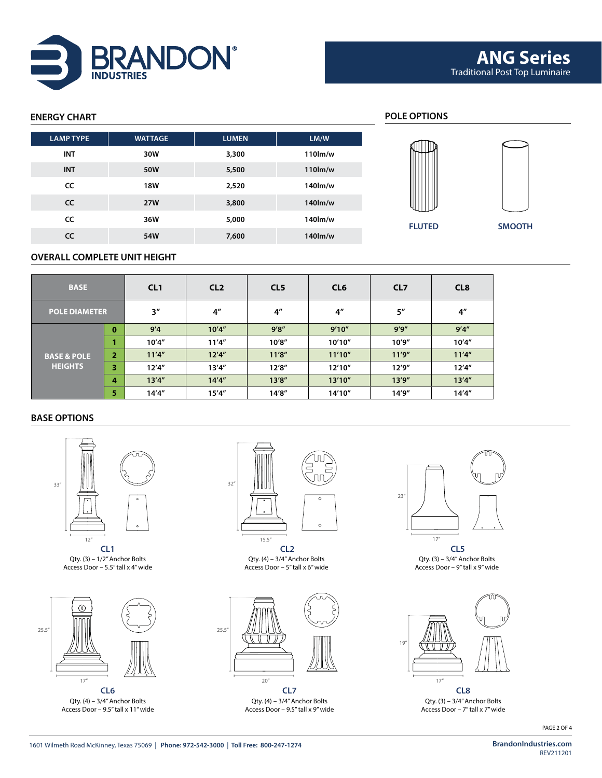

# **ENERGY CHART POLE OPTIONS FLUTED SMOOTH LAMP TYPE WATTAGE LUMEN LM/W INT 30W 3,300 110lm/w INT 50W 5,500 110lm/w CC 18W 2,520 140lm/w CC 27W 3,800 140lm/w CC 36W 5,000 140lm/w CC 54W 7,600 140lm/w**

## **OVERALL COMPLETE UNIT HEIGHT**

| <b>BASE</b>            |                | CL1                | CL <sub>2</sub>    | CL <sub>5</sub> | CL <sub>6</sub> | CL <sub>7</sub>    | CL <sub>8</sub> |  |
|------------------------|----------------|--------------------|--------------------|-----------------|-----------------|--------------------|-----------------|--|
| <b>POLE DIAMETER</b>   |                | $3^{\prime\prime}$ | $4^{\prime\prime}$ | 4 <sup>''</sup> | 4 <sup>''</sup> | $5^{\prime\prime}$ | 4 <sup>''</sup> |  |
|                        | $\bf{0}$       | 9'4                | 10'4''             | 9'8''           | 9'10''          | 9'9''              | 9'4''           |  |
|                        |                | 10'4''             | 11'4''             | 10'8''          | 10'10''         | 10'9''             | 10'4''          |  |
| <b>BASE &amp; POLE</b> | $\overline{2}$ | 11'4''             | 12'4''             | 11'8''          | 11'10''         | 11'9''             | 11'4''          |  |
| <b>HEIGHTS</b>         | 3              | 12'4''             | 13'4''             | 12'8''          | 12'10''         | 12'9''             | 12'4''          |  |
|                        | 4              | 13'4''             | 14'4''             | 13'8''          | 13'10''         | 13'9''             | 13'4''          |  |
|                        | 5              | 14'4''             | 15'4''             | 14'8''          | 14'10"          | 14'9"              | 14'4''          |  |

## **BASE OPTIONS**



Qty. (3) – 1/2" Anchor Bolts Access Door – 5.5" tall x 4" wide



Qty. (4) – 3/4" Anchor Bolts Access Door – 9.5" tall x 11" wide



**CL1 CL2 CL5** Qty. (4) – 3/4" Anchor Bolts Access Door – 5" tall x 6" wide



**CL6 CL7 CL8** Qty. (4) – 3/4" Anchor Bolts Access Door – 9.5" tall x 9" wide



Qty. (3) – 3/4" Anchor Bolts Access Door – 9" tall x 9" wide



Qty. (3) – 3/4" Anchor Bolts Access Door – 7" tall x 7" wide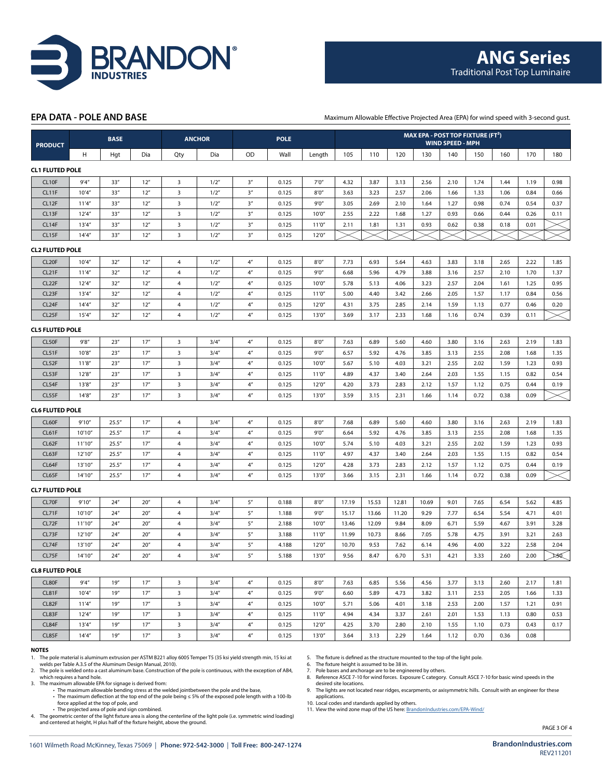

#### **EPA DATA - POLE AND BASE**

Maximum Allowable Effective Projected Area (EPA) for wind speed with 3-second gust.

| <b>PRODUCT</b>         |         | <b>BASE</b> |                 | <b>ANCHOR</b>           |       | <b>POLE</b>        |       |        | MAX EPA - POST TOP FIXTURE (FT <sup>2</sup> )<br><b>WIND SPEED - MPH</b> |       |       |       |      |      |      |      |      |
|------------------------|---------|-------------|-----------------|-------------------------|-------|--------------------|-------|--------|--------------------------------------------------------------------------|-------|-------|-------|------|------|------|------|------|
|                        | н       | Hgt         | Dia             | Qty                     | Dia   | OD                 | Wall  | Length | 105                                                                      | 110   | 120   | 130   | 140  | 150  | 160  | 170  | 180  |
| <b>CL1 FLUTED POLE</b> |         |             |                 |                         |       |                    |       |        |                                                                          |       |       |       |      |      |      |      |      |
| CL <sub>10F</sub>      | 9'4''   | 33''        | 12"             | $\overline{3}$          | 1/2"  | 3''                | 0.125 | 7'0''  | 4.32                                                                     | 3.87  | 3.13  | 2.56  | 2.10 | 1.74 | 1.44 | 1.19 | 0.98 |
| CL11F                  | 10'4''  | 33''        | 12"             | 3                       | 1/2"  | 3 <sup>n</sup>     | 0.125 | 8'0''  | 3.63                                                                     | 3.23  | 2.57  | 2.06  | 1.66 | 1.33 | 1.06 | 0.84 | 0.66 |
| CL12F                  | 11'4''  | 33''        | 12''            | $\overline{\mathbf{3}}$ | 1/2'' | 3''                | 0.125 | 9'0''  | 3.05                                                                     | 2.69  | 2.10  | 1.64  | 1.27 | 0.98 | 0.74 | 0.54 | 0.37 |
| CL13F                  | 12'4''  | 33''        | 12''            | 3                       | 1/2"  | 3''                | 0.125 | 10'0'  | 2.55                                                                     | 2.22  | 1.68  | 1.27  | 0.93 | 0.66 | 0.44 | 0.26 | 0.11 |
| CL14F                  | 13'4''  | 33''        | 12''            | $\overline{\mathbf{3}}$ | 1/2"  | 3''                | 0.125 | 11'0'' | 2.11                                                                     | 1.81  | 1.31  | 0.93  | 0.62 | 0.38 | 0.18 | 0.01 |      |
| CL15F                  | 14'4''  | 33''        | 12"             | $\overline{\mathbf{3}}$ | 1/2"  | 3''                | 0.125 | 12'0'' |                                                                          |       |       |       |      |      |      |      |      |
| <b>CL2 FLUTED POLE</b> |         |             |                 |                         |       |                    |       |        |                                                                          |       |       |       |      |      |      |      |      |
| CL <sub>20F</sub>      | 10'4''  | 32"         | 12"             | 4                       | 1/2'' | 4 <sup>n</sup>     | 0.125 | 8'0''  | 7.73                                                                     | 6.93  | 5.64  | 4.63  | 3.83 | 3.18 | 2.65 | 2.22 | 1.85 |
| CL <sub>21</sub> F     | 11'4''  | 32"         | 12"             | $\overline{4}$          | 1/2'' | $4^{\prime\prime}$ | 0.125 | 9'0''  | 6.68                                                                     | 5.96  | 4.79  | 3.88  | 3.16 | 2.57 | 2.10 | 1.70 | 1.37 |
| CL <sub>22</sub> F     | 12'4''  | 32''        | 12''            | $\overline{a}$          | 1/2"  | $4^{\prime\prime}$ | 0.125 | 10'0'' | 5.78                                                                     | 5.13  | 4.06  | 3.23  | 2.57 | 2.04 | 1.61 | 1.25 | 0.95 |
| CL <sub>23</sub> F     | 13'4''  | 32"         | 12"             | $\overline{4}$          | 1/2"  | $4''$              | 0.125 | 11'0'' | 5.00                                                                     | 4.40  | 3.42  | 2.66  | 2.05 | 1.57 | 1.17 | 0.84 | 0.56 |
| CL <sub>24</sub> F     | 14'4''  | 32"         | 12"             | 4                       | 1/2"  | 4 <sup>n</sup>     | 0.125 | 12'0'' | 4.31                                                                     | 3.75  | 2.85  | 2.14  | 1.59 | 1.13 | 0.77 | 0.46 | 0.20 |
| CL <sub>25F</sub>      | 15'4''  | 32"         | 12"             | $\overline{4}$          | 1/2"  | 4 <sup>n</sup>     | 0.125 | 13'0'' | 3.69                                                                     | 3.17  | 2.33  | 1.68  | 1.16 | 0.74 | 0.39 | 0.11 |      |
| <b>CL5 FLUTED POLE</b> |         |             |                 |                         |       |                    |       |        |                                                                          |       |       |       |      |      |      |      |      |
| CL50F                  | 9'8''   | 23''        | 17''            | $\overline{\mathbf{3}}$ | 3/4'' | $4^{\prime\prime}$ | 0.125 | 8'0''  | 7.63                                                                     | 6.89  | 5.60  | 4.60  | 3.80 | 3.16 | 2.63 | 2.19 | 1.83 |
| CL51F                  | 10'8''  | 23''        | 17''            | $\overline{\mathbf{3}}$ | 3/4'' | 4 <sup>n</sup>     | 0.125 | 9'0''  | 6.57                                                                     | 5.92  | 4.76  | 3.85  | 3.13 | 2.55 | 2.08 | 1.68 | 1.35 |
| CL52F                  | 11'8''  | 23''        | 17''            | $\overline{\mathbf{3}}$ | 3/4'' | $4''$              | 0.125 | 10'0'' | 5.67                                                                     | 5.10  | 4.03  | 3.21  | 2.55 | 2.02 | 1.59 | 1.23 | 0.93 |
| CL53F                  | 12'8''  | 23''        | 17''            | $\overline{\mathbf{3}}$ | 3/4'' | 4 <sup>n</sup>     | 0.125 | 11'0'' | 4.89                                                                     | 4.37  | 3.40  | 2.64  | 2.03 | 1.55 | 1.15 | 0.82 | 0.54 |
| CL54F                  | 13'8''  | 23''        | 17''            | 3                       | 3/4'' | $4^{\prime\prime}$ | 0.125 | 12'0'' | 4.20                                                                     | 3.73  | 2.83  | 2.12  | 1.57 | 1.12 | 0.75 | 0.44 | 0.19 |
| CL55F                  | 14'8''  | 23''        | 17''            | 3                       | 3/4'' | 4 <sup>n</sup>     | 0.125 | 13'0'' | 3.59                                                                     | 3.15  | 2.31  | 1.66  | 1.14 | 0.72 | 0.38 | 0.09 |      |
| <b>CL6 FLUTED POLE</b> |         |             |                 |                         |       |                    |       |        |                                                                          |       |       |       |      |      |      |      |      |
| CL60F                  | 9'10''  | 25.5''      | 17''            | $\overline{4}$          | 3/4'' | $4''$              | 0.125 | 8'0''  | 7.68                                                                     | 6.89  | 5.60  | 4.60  | 3.80 | 3.16 | 2.63 | 2.19 | 1.83 |
| CL61F                  | 10'10'' | 25.5''      | 17''            | 4                       | 3/4'' | 4 <sup>n</sup>     | 0.125 | 9'0''  | 6.64                                                                     | 5.92  | 4.76  | 3.85  | 3.13 | 2.55 | 2.08 | 1.68 | 1.35 |
| CL62F                  | 11'10"  | 25.5''      | 17''            | 4                       | 3/4'' | $4^{\prime\prime}$ | 0.125 | 10'0'' | 5.74                                                                     | 5.10  | 4.03  | 3.21  | 2.55 | 2.02 | 1.59 | 1.23 | 0.93 |
| CL63F                  | 12'10"  | 25.5''      | 17''            | $\overline{4}$          | 3/4'' | 4 <sup>n</sup>     | 0.125 | 11'0'' | 4.97                                                                     | 4.37  | 3.40  | 2.64  | 2.03 | 1.55 | 1.15 | 0.82 | 0.54 |
| CL64F                  | 13'10"  | 25.5''      | 17''            | 4                       | 3/4'' | $4''$              | 0.125 | 12'0'' | 4.28                                                                     | 3.73  | 2.83  | 2.12  | 1.57 | 1.12 | 0.75 | 0.44 | 0.19 |
| CL65F                  | 14'10"  | 25.5''      | 17''            | $\overline{4}$          | 3/4'' | 4 <sup>n</sup>     | 0.125 | 13'0'' | 3.66                                                                     | 3.15  | 2.31  | 1.66  | 1.14 | 0.72 | 0.38 | 0.09 |      |
| <b>CL7 FLUTED POLE</b> |         |             |                 |                         |       |                    |       |        |                                                                          |       |       |       |      |      |      |      |      |
| CL70F                  | 9'10''  | 24''        | 20''            | 4                       | 3/4'' | 5''                | 0.188 | 8'0''  | 17.19                                                                    | 15.53 | 12.81 | 10.69 | 9.01 | 7.65 | 6.54 | 5.62 | 4.85 |
| CL71F                  | 10'10"  | 24''        | 20 <sup>n</sup> | $\overline{4}$          | 3/4'' | 5''                | 1.188 | 9'0''  | 15.17                                                                    | 13.66 | 11.20 | 9.29  | 7.77 | 6.54 | 5.54 | 4.71 | 4.01 |
| CL72F                  | 11'10"  | 24''        | 20''            | $\overline{4}$          | 3/4'' | 5''                | 2.188 | 10'0'' | 13.46                                                                    | 12.09 | 9.84  | 8.09  | 6.71 | 5.59 | 4.67 | 3.91 | 3.28 |
| CL73F                  | 12'10"  | 24''        | 20''            | $\overline{4}$          | 3/4'' | 5''                | 3.188 | 11'0'' | 11.99                                                                    | 10.73 | 8.66  | 7.05  | 5.78 | 4.75 | 3.91 | 3.21 | 2.63 |
| CL74F                  | 13'10'' | 24''        | 20''            | 4                       | 3/4'' | 5''                | 4.188 | 12'0'' | 10.70                                                                    | 9.53  | 7.62  | 6.14  | 4.96 | 4.00 | 3.22 | 2.58 | 2.04 |
| CL75F                  | 14'10'' | 24''        | 20''            | 4                       | 3/4'' | 5''                | 5.188 | 13'0'' | 9.56                                                                     | 8.47  | 6.70  | 5.31  | 4.21 | 3.33 | 2.60 | 2.00 | 130. |
| <b>CL8 FLUTED POLE</b> |         |             |                 |                         |       |                    |       |        |                                                                          |       |       |       |      |      |      |      |      |
| CL80F                  | 9'4''   | 19''        | 17''            | $\overline{\mathbf{3}}$ | 3/4'' | 4 <sup>n</sup>     | 0.125 | 8'0''  | 7.63                                                                     | 6.85  | 5.56  | 4.56  | 3.77 | 3.13 | 2.60 | 2.17 | 1.81 |
| CL81F                  | 10'4''  | 19''        | 17''            | $\overline{\mathbf{3}}$ | 3/4'' | $4''$              | 0.125 | 9'0''  | 6.60                                                                     | 5.89  | 4.73  | 3.82  | 3.11 | 2.53 | 2.05 | 1.66 | 1.33 |
| CL82F                  | 11'4''  | 19''        | 17''            | $\overline{3}$          | 3/4'' | 4 <sup>n</sup>     | 0.125 | 10'0'' | 5.71                                                                     | 5.06  | 4.01  | 3.18  | 2.53 | 2.00 | 1.57 | 1.21 | 0.91 |
| CL83F                  | 12'4''  | 19''        | 17''            | $\overline{\mathbf{3}}$ | 3/4'' | 4 <sup>n</sup>     | 0.125 | 11'0'' | 4.94                                                                     | 4.34  | 3.37  | 2.61  | 2.01 | 1.53 | 1.13 | 0.80 | 0.53 |
| CL84F                  | 13'4''  | 19''        | 17''            | $\overline{\mathbf{3}}$ | 3/4'' | $4^{\prime\prime}$ | 0.125 | 12'0'' | 4.25                                                                     | 3.70  | 2.80  | 2.10  | 1.55 | 1.10 | 0.73 | 0.43 | 0.17 |
| CL85F                  | 14'4''  | 19''        | 17''            | $\overline{\mathbf{3}}$ | 3/4'' | 4 <sup>n</sup>     | 0.125 | 13'0'' | 3.64                                                                     | 3.13  | 2.29  | 1.64  | 1.12 | 0.70 | 0.36 | 0.08 |      |
| <b>NOTES</b>           |         |             |                 |                         |       |                    |       |        |                                                                          |       |       |       |      |      |      |      |      |

1. The pole material is aluminum extrusion per ASTM B221 alloy 6005 Temper T5 (35 ksi yield strength min, 15 ksi at welds per Table A.3.5 of the Aluminum Design Manual, 2010).

2. The pole is welded onto a cast aluminum base. Construction of the pole is continuous, with the exception of AB4, which requires a hand hole.

3. The maximum allowable EPA for signage is derived from: • The maximum allowable bending stress at the welded jointbetween the pole and the base,

• The maximum deflection at the top end of the pole being ≤ 5% of the exposed pole length with a 100-lb force applied at the top of pole, and

• The projected area of pole and sign combined.<br>A The geometric center of the light fixture area is along the centerline of the light pole (i.e. symmetric wind loading)<br>and centered at height, H plus half of the fixture h

5. The fixture is defined as the structure mounted to the top of the light pole. 6. The fixture height is assumed to be 38 in.

7. Pole bases and anchorage are to be engineered by others. 8. Reference ASCE 7-10 for wind forces. Exposure C category. Consult ASCE 7-10 for basic wind speeds in the

desired site locations. 9. The lights are not located near ridges, escarpments, or axisymmetric hills. Consult with an engineer for these

applications. 10. Local codes and standards applied by others.

11. View the wind zone map of the US here: [BrandonIndustries.com/EPA-Wind/](http://BrandonIndustries.com/EPA-Wind/)

PAGE 3 OF 4